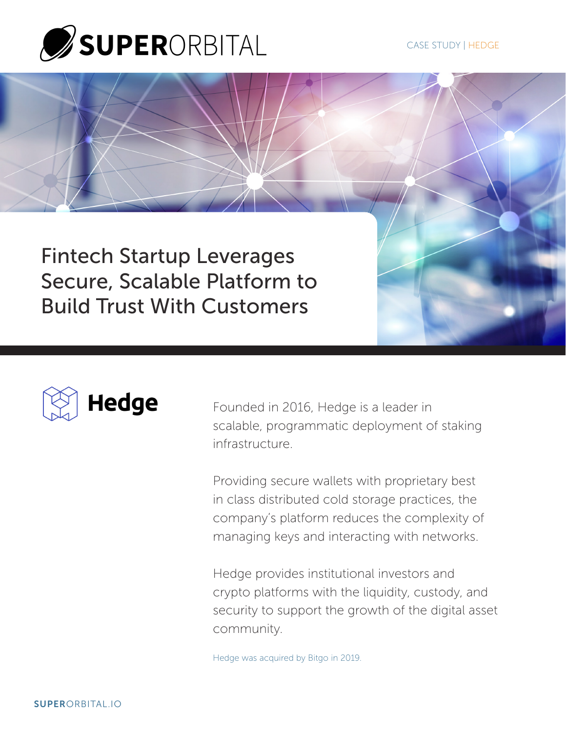

Fintech Startup Leverages Secure, Scalable Platform to Build Trust With Customers



Founded in 2016, Hedge is a leader in scalable, programmatic deployment of staking infrastructure.

Providing secure wallets with proprietary best in class distributed cold storage practices, the company's platform reduces the complexity of managing keys and interacting with networks.

Hedge provides institutional investors and crypto platforms with the liquidity, custody, and security to support the growth of the digital asset community.

Hedge was acquired by Bitgo in 2019.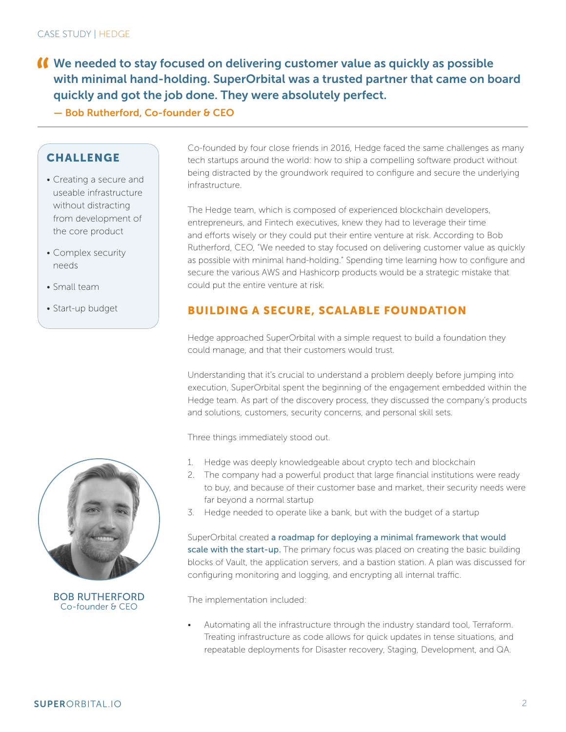- We needed to stay focused on delivering customer value as quickly as possible with minimal hand-holding. SuperOrbital was a trusted partner that came on board quickly and got the job done. They were absolutely perfect.
	- Bob Rutherford, Co-founder & CEO

### **CHALLENGE**

- Creating a secure and useable infrastructure without distracting from development of the core product
- Complex security needs
- Small team
- Start-up budget



BOB RUTHERFORD Co-founder & CEO

Co-founded by four close friends in 2016, Hedge faced the same challenges as many tech startups around the world: how to ship a compelling software product without being distracted by the groundwork required to configure and secure the underlying infrastructure.

The Hedge team, which is composed of experienced blockchain developers, entrepreneurs, and Fintech executives, knew they had to leverage their time and efforts wisely or they could put their entire venture at risk. According to Bob Rutherford, CEO, "We needed to stay focused on delivering customer value as quickly as possible with minimal hand-holding." Spending time learning how to configure and secure the various AWS and Hashicorp products would be a strategic mistake that could put the entire venture at risk.

## BUILDING A SECURE, SCALABLE FOUNDATION

Hedge approached SuperOrbital with a simple request to build a foundation they could manage, and that their customers would trust.

Understanding that it's crucial to understand a problem deeply before jumping into execution, SuperOrbital spent the beginning of the engagement embedded within the Hedge team. As part of the discovery process, they discussed the company's products and solutions, customers, security concerns, and personal skill sets.

Three things immediately stood out.

- 1. Hedge was deeply knowledgeable about crypto tech and blockchain
- 2. The company had a powerful product that large financial institutions were ready to buy, and because of their customer base and market, their security needs were far beyond a normal startup
- 3. Hedge needed to operate like a bank, but with the budget of a startup

SuperOrbital created a roadmap for deploying a minimal framework that would scale with the start-up. The primary focus was placed on creating the basic building blocks of Vault, the application servers, and a bastion station. A plan was discussed for configuring monitoring and logging, and encrypting all internal traffic.

The implementation included:

Automating all the infrastructure through the industry standard tool, Terraform. Treating infrastructure as code allows for quick updates in tense situations, and repeatable deployments for Disaster recovery, Staging, Development, and QA.